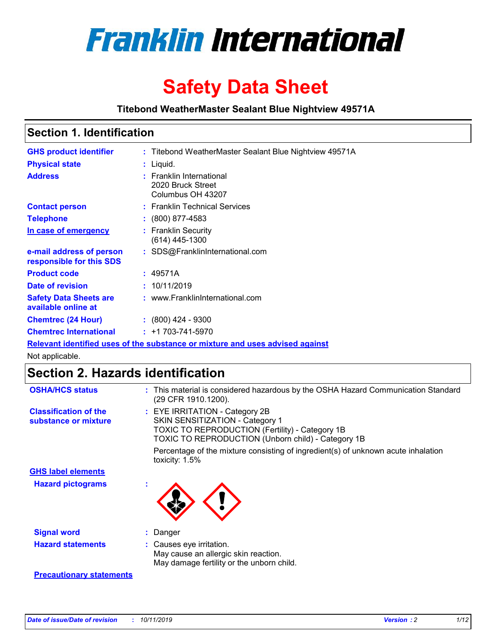

# **Safety Data Sheet**

**Titebond WeatherMaster Sealant Blue Nightview 49571A**

### **Section 1. Identification**

| <b>GHS product identifier</b>                        | : Titebond WeatherMaster Sealant Blue Nightview 49571A                        |
|------------------------------------------------------|-------------------------------------------------------------------------------|
| <b>Physical state</b>                                | : Liquid.                                                                     |
| <b>Address</b>                                       | : Franklin International<br>2020 Bruck Street<br>Columbus OH 43207            |
| <b>Contact person</b>                                | : Franklin Technical Services                                                 |
| <b>Telephone</b>                                     | $\colon$ (800) 877-4583                                                       |
| In case of emergency                                 | : Franklin Security<br>$(614)$ 445-1300                                       |
| e-mail address of person<br>responsible for this SDS | : SDS@FranklinInternational.com                                               |
| <b>Product code</b>                                  | : 49571A                                                                      |
| Date of revision                                     | : 10/11/2019                                                                  |
| <b>Safety Data Sheets are</b><br>available online at | : www.FranklinInternational.com                                               |
| <b>Chemtrec (24 Hour)</b>                            | $: (800)$ 424 - 9300                                                          |
| <b>Chemtrec International</b>                        | $: +1703 - 741 - 5970$                                                        |
|                                                      | Relevant identified uses of the substance or mixture and uses advised against |

Not applicable.

# **Section 2. Hazards identification**

| <b>OSHA/HCS status</b>                               | : This material is considered hazardous by the OSHA Hazard Communication Standard<br>(29 CFR 1910.1200).                                                                                 |
|------------------------------------------------------|------------------------------------------------------------------------------------------------------------------------------------------------------------------------------------------|
| <b>Classification of the</b><br>substance or mixture | : EYE IRRITATION - Category 2B<br>SKIN SENSITIZATION - Category 1<br><b>TOXIC TO REPRODUCTION (Fertility) - Category 1B</b><br><b>TOXIC TO REPRODUCTION (Unborn child) - Category 1B</b> |
|                                                      | Percentage of the mixture consisting of ingredient(s) of unknown acute inhalation<br>toxicity: $1.5\%$                                                                                   |
| <b>GHS label elements</b>                            |                                                                                                                                                                                          |
| <b>Hazard pictograms</b>                             |                                                                                                                                                                                          |
| <b>Signal word</b>                                   | : Danger                                                                                                                                                                                 |
| <b>Hazard statements</b>                             | : Causes eye irritation.<br>May cause an allergic skin reaction.<br>May damage fertility or the unborn child.                                                                            |
| <b>Precautionary statements</b>                      |                                                                                                                                                                                          |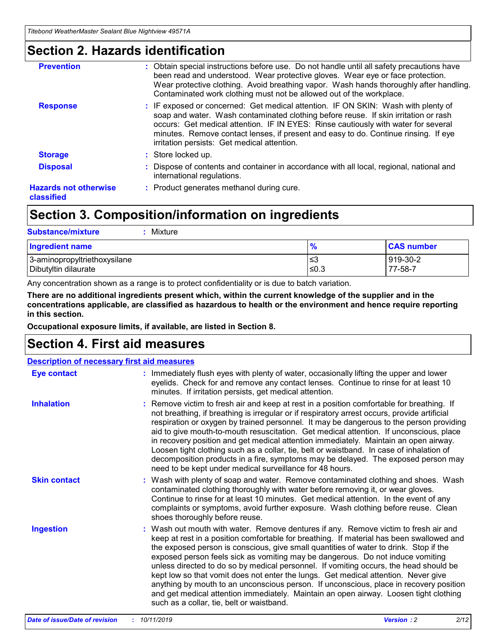### **Section 2. Hazards identification**

| <b>Prevention</b>                          | : Obtain special instructions before use. Do not handle until all safety precautions have<br>been read and understood. Wear protective gloves. Wear eye or face protection.<br>Wear protective clothing. Avoid breathing vapor. Wash hands thoroughly after handling.<br>Contaminated work clothing must not be allowed out of the workplace.                                                        |
|--------------------------------------------|------------------------------------------------------------------------------------------------------------------------------------------------------------------------------------------------------------------------------------------------------------------------------------------------------------------------------------------------------------------------------------------------------|
| <b>Response</b>                            | : IF exposed or concerned: Get medical attention. IF ON SKIN: Wash with plenty of<br>soap and water. Wash contaminated clothing before reuse. If skin irritation or rash<br>occurs: Get medical attention. IF IN EYES: Rinse cautiously with water for several<br>minutes. Remove contact lenses, if present and easy to do. Continue rinsing. If eye<br>irritation persists: Get medical attention. |
| <b>Storage</b>                             | : Store locked up.                                                                                                                                                                                                                                                                                                                                                                                   |
| <b>Disposal</b>                            | : Dispose of contents and container in accordance with all local, regional, national and<br>international regulations.                                                                                                                                                                                                                                                                               |
| <b>Hazards not otherwise</b><br>classified | : Product generates methanol during cure.                                                                                                                                                                                                                                                                                                                                                            |
|                                            |                                                                                                                                                                                                                                                                                                                                                                                                      |

### **Section 3. Composition/information on ingredients**

| <b>Substance/mixture</b><br>Mixture                  |               |                     |
|------------------------------------------------------|---------------|---------------------|
| <b>Ingredient name</b>                               | $\frac{9}{6}$ | <b>CAS number</b>   |
| 3-aminopropyltriethoxysilane<br>Dibutyltin dilaurate | ≤3<br>$≤0.3$  | 919-30-2<br>77-58-7 |

Any concentration shown as a range is to protect confidentiality or is due to batch variation.

**There are no additional ingredients present which, within the current knowledge of the supplier and in the concentrations applicable, are classified as hazardous to health or the environment and hence require reporting in this section.**

**Occupational exposure limits, if available, are listed in Section 8.**

### **Section 4. First aid measures**

| <b>Description of necessary first aid measures</b> |                                                                                                                                                                                                                                                                                                                                                                                                                                                                                                                                                                                                                                                                                                                                                                           |  |  |  |
|----------------------------------------------------|---------------------------------------------------------------------------------------------------------------------------------------------------------------------------------------------------------------------------------------------------------------------------------------------------------------------------------------------------------------------------------------------------------------------------------------------------------------------------------------------------------------------------------------------------------------------------------------------------------------------------------------------------------------------------------------------------------------------------------------------------------------------------|--|--|--|
| <b>Eye contact</b>                                 | : Immediately flush eyes with plenty of water, occasionally lifting the upper and lower<br>eyelids. Check for and remove any contact lenses. Continue to rinse for at least 10<br>minutes. If irritation persists, get medical attention.                                                                                                                                                                                                                                                                                                                                                                                                                                                                                                                                 |  |  |  |
| <b>Inhalation</b>                                  | : Remove victim to fresh air and keep at rest in a position comfortable for breathing. If<br>not breathing, if breathing is irregular or if respiratory arrest occurs, provide artificial<br>respiration or oxygen by trained personnel. It may be dangerous to the person providing<br>aid to give mouth-to-mouth resuscitation. Get medical attention. If unconscious, place<br>in recovery position and get medical attention immediately. Maintain an open airway.<br>Loosen tight clothing such as a collar, tie, belt or waistband. In case of inhalation of<br>decomposition products in a fire, symptoms may be delayed. The exposed person may<br>need to be kept under medical surveillance for 48 hours.                                                       |  |  |  |
| <b>Skin contact</b>                                | : Wash with plenty of soap and water. Remove contaminated clothing and shoes. Wash<br>contaminated clothing thoroughly with water before removing it, or wear gloves.<br>Continue to rinse for at least 10 minutes. Get medical attention. In the event of any<br>complaints or symptoms, avoid further exposure. Wash clothing before reuse. Clean<br>shoes thoroughly before reuse.                                                                                                                                                                                                                                                                                                                                                                                     |  |  |  |
| <b>Ingestion</b>                                   | : Wash out mouth with water. Remove dentures if any. Remove victim to fresh air and<br>keep at rest in a position comfortable for breathing. If material has been swallowed and<br>the exposed person is conscious, give small quantities of water to drink. Stop if the<br>exposed person feels sick as vomiting may be dangerous. Do not induce vomiting<br>unless directed to do so by medical personnel. If vomiting occurs, the head should be<br>kept low so that vomit does not enter the lungs. Get medical attention. Never give<br>anything by mouth to an unconscious person. If unconscious, place in recovery position<br>and get medical attention immediately. Maintain an open airway. Loosen tight clothing<br>such as a collar, tie, belt or waistband. |  |  |  |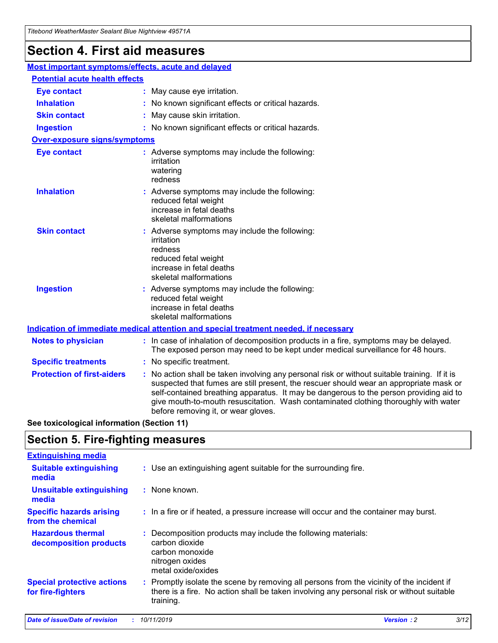# **Section 4. First aid measures**

| Most important symptoms/effects, acute and delayed |  |                                                                                                                                                                                                                                                                                                                                                                                                                 |
|----------------------------------------------------|--|-----------------------------------------------------------------------------------------------------------------------------------------------------------------------------------------------------------------------------------------------------------------------------------------------------------------------------------------------------------------------------------------------------------------|
| <b>Potential acute health effects</b>              |  |                                                                                                                                                                                                                                                                                                                                                                                                                 |
| Eye contact                                        |  | : May cause eye irritation.                                                                                                                                                                                                                                                                                                                                                                                     |
| <b>Inhalation</b>                                  |  | : No known significant effects or critical hazards.                                                                                                                                                                                                                                                                                                                                                             |
| <b>Skin contact</b>                                |  | : May cause skin irritation.                                                                                                                                                                                                                                                                                                                                                                                    |
| <b>Ingestion</b>                                   |  | : No known significant effects or critical hazards.                                                                                                                                                                                                                                                                                                                                                             |
| Over-exposure signs/symptoms                       |  |                                                                                                                                                                                                                                                                                                                                                                                                                 |
| <b>Eye contact</b>                                 |  | : Adverse symptoms may include the following:<br>irritation<br>watering<br>redness                                                                                                                                                                                                                                                                                                                              |
| <b>Inhalation</b>                                  |  | : Adverse symptoms may include the following:<br>reduced fetal weight<br>increase in fetal deaths<br>skeletal malformations                                                                                                                                                                                                                                                                                     |
| <b>Skin contact</b>                                |  | : Adverse symptoms may include the following:<br>irritation<br>redness<br>reduced fetal weight<br>increase in fetal deaths<br>skeletal malformations                                                                                                                                                                                                                                                            |
| <b>Ingestion</b>                                   |  | : Adverse symptoms may include the following:<br>reduced fetal weight<br>increase in fetal deaths<br>skeletal malformations                                                                                                                                                                                                                                                                                     |
|                                                    |  | <b>Indication of immediate medical attention and special treatment needed, if necessary</b>                                                                                                                                                                                                                                                                                                                     |
| <b>Notes to physician</b>                          |  | : In case of inhalation of decomposition products in a fire, symptoms may be delayed.<br>The exposed person may need to be kept under medical surveillance for 48 hours.                                                                                                                                                                                                                                        |
| <b>Specific treatments</b>                         |  | : No specific treatment.                                                                                                                                                                                                                                                                                                                                                                                        |
| <b>Protection of first-aiders</b>                  |  | : No action shall be taken involving any personal risk or without suitable training. If it is<br>suspected that fumes are still present, the rescuer should wear an appropriate mask or<br>self-contained breathing apparatus. It may be dangerous to the person providing aid to<br>give mouth-to-mouth resuscitation. Wash contaminated clothing thoroughly with water<br>before removing it, or wear gloves. |

**See toxicological information (Section 11)**

### **Section 5. Fire-fighting measures**

| <b>Extinguishing media</b>                             |                                                                                                                                                                                                     |
|--------------------------------------------------------|-----------------------------------------------------------------------------------------------------------------------------------------------------------------------------------------------------|
| <b>Suitable extinguishing</b><br>media                 | : Use an extinguishing agent suitable for the surrounding fire.                                                                                                                                     |
| <b>Unsuitable extinguishing</b><br>media               | : None known.                                                                                                                                                                                       |
| <b>Specific hazards arising</b><br>from the chemical   | : In a fire or if heated, a pressure increase will occur and the container may burst.                                                                                                               |
| <b>Hazardous thermal</b><br>decomposition products     | : Decomposition products may include the following materials:<br>carbon dioxide<br>carbon monoxide<br>nitrogen oxides<br>metal oxide/oxides                                                         |
| <b>Special protective actions</b><br>for fire-fighters | : Promptly isolate the scene by removing all persons from the vicinity of the incident if<br>there is a fire. No action shall be taken involving any personal risk or without suitable<br>training. |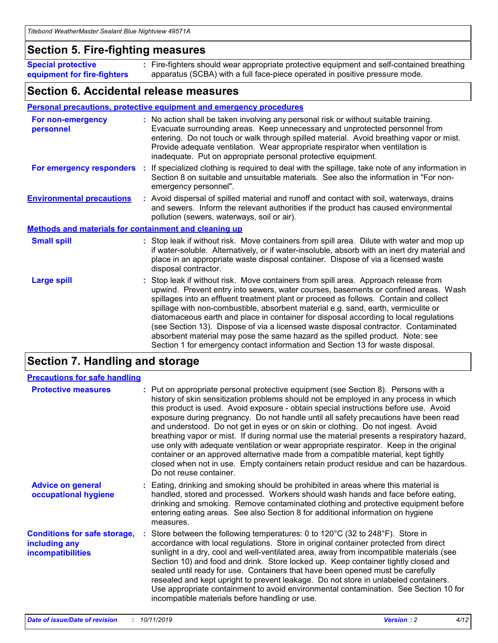### **Section 5. Fire-fighting measures**

**Special protective equipment for fire-fighters** Fire-fighters should wear appropriate protective equipment and self-contained breathing **:** apparatus (SCBA) with a full face-piece operated in positive pressure mode.

### **Section 6. Accidental release measures**

#### **Personal precautions, protective equipment and emergency procedures**

| For non-emergency<br>personnel                               | : No action shall be taken involving any personal risk or without suitable training.<br>Evacuate surrounding areas. Keep unnecessary and unprotected personnel from<br>entering. Do not touch or walk through spilled material. Avoid breathing vapor or mist.<br>Provide adequate ventilation. Wear appropriate respirator when ventilation is<br>inadequate. Put on appropriate personal protective equipment.                                                                                                                                                                                                                                                                                             |
|--------------------------------------------------------------|--------------------------------------------------------------------------------------------------------------------------------------------------------------------------------------------------------------------------------------------------------------------------------------------------------------------------------------------------------------------------------------------------------------------------------------------------------------------------------------------------------------------------------------------------------------------------------------------------------------------------------------------------------------------------------------------------------------|
| For emergency responders                                     | : If specialized clothing is required to deal with the spillage, take note of any information in<br>Section 8 on suitable and unsuitable materials. See also the information in "For non-<br>emergency personnel".                                                                                                                                                                                                                                                                                                                                                                                                                                                                                           |
| <b>Environmental precautions</b>                             | : Avoid dispersal of spilled material and runoff and contact with soil, waterways, drains<br>and sewers. Inform the relevant authorities if the product has caused environmental<br>pollution (sewers, waterways, soil or air).                                                                                                                                                                                                                                                                                                                                                                                                                                                                              |
| <b>Methods and materials for containment and cleaning up</b> |                                                                                                                                                                                                                                                                                                                                                                                                                                                                                                                                                                                                                                                                                                              |
| <b>Small spill</b>                                           | : Stop leak if without risk. Move containers from spill area. Dilute with water and mop up<br>if water-soluble. Alternatively, or if water-insoluble, absorb with an inert dry material and<br>place in an appropriate waste disposal container. Dispose of via a licensed waste<br>disposal contractor.                                                                                                                                                                                                                                                                                                                                                                                                     |
| <b>Large spill</b>                                           | : Stop leak if without risk. Move containers from spill area. Approach release from<br>upwind. Prevent entry into sewers, water courses, basements or confined areas. Wash<br>spillages into an effluent treatment plant or proceed as follows. Contain and collect<br>spillage with non-combustible, absorbent material e.g. sand, earth, vermiculite or<br>diatomaceous earth and place in container for disposal according to local regulations<br>(see Section 13). Dispose of via a licensed waste disposal contractor. Contaminated<br>absorbent material may pose the same hazard as the spilled product. Note: see<br>Section 1 for emergency contact information and Section 13 for waste disposal. |

### **Section 7. Handling and storage**

| <b>Precautions for safe handling</b>                                             |                                                                                                                                                                                                                                                                                                                                                                                                                                                                                                                                                                                                                                                                                                                                                                                                                                                  |
|----------------------------------------------------------------------------------|--------------------------------------------------------------------------------------------------------------------------------------------------------------------------------------------------------------------------------------------------------------------------------------------------------------------------------------------------------------------------------------------------------------------------------------------------------------------------------------------------------------------------------------------------------------------------------------------------------------------------------------------------------------------------------------------------------------------------------------------------------------------------------------------------------------------------------------------------|
| <b>Protective measures</b>                                                       | : Put on appropriate personal protective equipment (see Section 8). Persons with a<br>history of skin sensitization problems should not be employed in any process in which<br>this product is used. Avoid exposure - obtain special instructions before use. Avoid<br>exposure during pregnancy. Do not handle until all safety precautions have been read<br>and understood. Do not get in eyes or on skin or clothing. Do not ingest. Avoid<br>breathing vapor or mist. If during normal use the material presents a respiratory hazard,<br>use only with adequate ventilation or wear appropriate respirator. Keep in the original<br>container or an approved alternative made from a compatible material, kept tightly<br>closed when not in use. Empty containers retain product residue and can be hazardous.<br>Do not reuse container. |
| <b>Advice on general</b><br>occupational hygiene                                 | : Eating, drinking and smoking should be prohibited in areas where this material is<br>handled, stored and processed. Workers should wash hands and face before eating,<br>drinking and smoking. Remove contaminated clothing and protective equipment before<br>entering eating areas. See also Section 8 for additional information on hygiene<br>measures.                                                                                                                                                                                                                                                                                                                                                                                                                                                                                    |
| <b>Conditions for safe storage,</b><br>including any<br><b>incompatibilities</b> | Store between the following temperatures: 0 to 120°C (32 to 248°F). Store in<br>accordance with local regulations. Store in original container protected from direct<br>sunlight in a dry, cool and well-ventilated area, away from incompatible materials (see<br>Section 10) and food and drink. Store locked up. Keep container tightly closed and<br>sealed until ready for use. Containers that have been opened must be carefully<br>resealed and kept upright to prevent leakage. Do not store in unlabeled containers.<br>Use appropriate containment to avoid environmental contamination. See Section 10 for<br>incompatible materials before handling or use.                                                                                                                                                                         |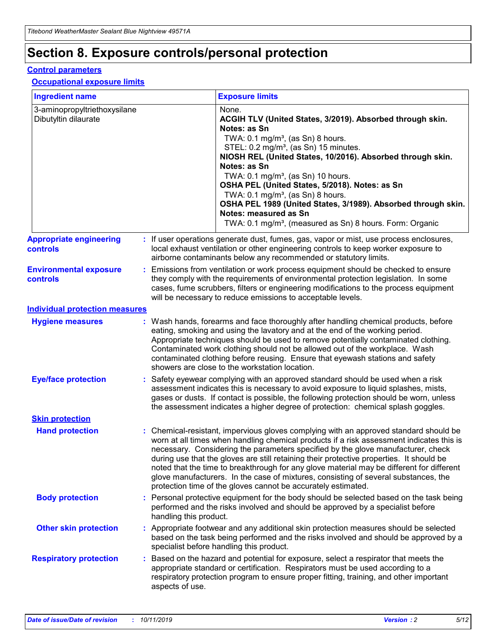# **Section 8. Exposure controls/personal protection**

#### **Control parameters**

#### **Occupational exposure limits**

| <b>Ingredient name</b>                               |    |                        | <b>Exposure limits</b>                                                                                                                                                                                                                                                                                                                                                                                                                                                                                                                                                                                                 |
|------------------------------------------------------|----|------------------------|------------------------------------------------------------------------------------------------------------------------------------------------------------------------------------------------------------------------------------------------------------------------------------------------------------------------------------------------------------------------------------------------------------------------------------------------------------------------------------------------------------------------------------------------------------------------------------------------------------------------|
| 3-aminopropyltriethoxysilane<br>Dibutyltin dilaurate |    |                        | None.<br>ACGIH TLV (United States, 3/2019). Absorbed through skin.<br>Notes: as Sn<br>TWA: $0.1 \text{ mg/m}^3$ , (as Sn) 8 hours.<br>STEL: 0.2 mg/m <sup>3</sup> , (as Sn) 15 minutes.<br>NIOSH REL (United States, 10/2016). Absorbed through skin.<br>Notes: as Sn<br>TWA: 0.1 mg/m <sup>3</sup> , (as Sn) 10 hours.<br>OSHA PEL (United States, 5/2018). Notes: as Sn<br>TWA: 0.1 mg/m <sup>3</sup> , (as Sn) 8 hours.<br>OSHA PEL 1989 (United States, 3/1989). Absorbed through skin.<br>Notes: measured as Sn<br>TWA: 0.1 mg/m <sup>3</sup> , (measured as Sn) 8 hours. Form: Organic                           |
| <b>Appropriate engineering</b><br>controls           |    |                        | : If user operations generate dust, fumes, gas, vapor or mist, use process enclosures,<br>local exhaust ventilation or other engineering controls to keep worker exposure to<br>airborne contaminants below any recommended or statutory limits.                                                                                                                                                                                                                                                                                                                                                                       |
| <b>Environmental exposure</b><br>controls            |    |                        | Emissions from ventilation or work process equipment should be checked to ensure<br>they comply with the requirements of environmental protection legislation. In some<br>cases, fume scrubbers, filters or engineering modifications to the process equipment<br>will be necessary to reduce emissions to acceptable levels.                                                                                                                                                                                                                                                                                          |
| <b>Individual protection measures</b>                |    |                        |                                                                                                                                                                                                                                                                                                                                                                                                                                                                                                                                                                                                                        |
| <b>Hygiene measures</b>                              |    |                        | : Wash hands, forearms and face thoroughly after handling chemical products, before<br>eating, smoking and using the lavatory and at the end of the working period.<br>Appropriate techniques should be used to remove potentially contaminated clothing.<br>Contaminated work clothing should not be allowed out of the workplace. Wash<br>contaminated clothing before reusing. Ensure that eyewash stations and safety<br>showers are close to the workstation location.                                                                                                                                            |
| <b>Eye/face protection</b>                           |    |                        | Safety eyewear complying with an approved standard should be used when a risk<br>assessment indicates this is necessary to avoid exposure to liquid splashes, mists,<br>gases or dusts. If contact is possible, the following protection should be worn, unless<br>the assessment indicates a higher degree of protection: chemical splash goggles.                                                                                                                                                                                                                                                                    |
| <b>Skin protection</b>                               |    |                        |                                                                                                                                                                                                                                                                                                                                                                                                                                                                                                                                                                                                                        |
| <b>Hand protection</b>                               |    |                        | : Chemical-resistant, impervious gloves complying with an approved standard should be<br>worn at all times when handling chemical products if a risk assessment indicates this is<br>necessary. Considering the parameters specified by the glove manufacturer, check<br>during use that the gloves are still retaining their protective properties. It should be<br>noted that the time to breakthrough for any glove material may be different for different<br>glove manufacturers. In the case of mixtures, consisting of several substances, the<br>protection time of the gloves cannot be accurately estimated. |
| <b>Body protection</b>                               |    | handling this product. | Personal protective equipment for the body should be selected based on the task being<br>performed and the risks involved and should be approved by a specialist before                                                                                                                                                                                                                                                                                                                                                                                                                                                |
| <b>Other skin protection</b>                         |    |                        | : Appropriate footwear and any additional skin protection measures should be selected<br>based on the task being performed and the risks involved and should be approved by a<br>specialist before handling this product.                                                                                                                                                                                                                                                                                                                                                                                              |
| <b>Respiratory protection</b>                        | ÷. | aspects of use.        | Based on the hazard and potential for exposure, select a respirator that meets the<br>appropriate standard or certification. Respirators must be used according to a<br>respiratory protection program to ensure proper fitting, training, and other important                                                                                                                                                                                                                                                                                                                                                         |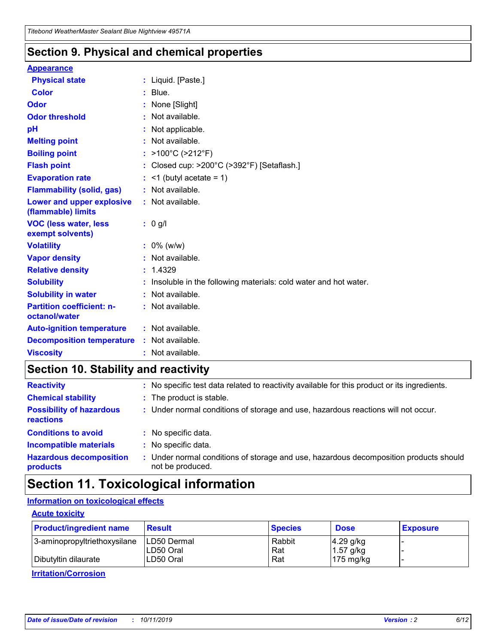### **Section 9. Physical and chemical properties**

#### **Appearance**

| <b>Physical state</b>                             |    | : Liquid. [Paste.]                                              |
|---------------------------------------------------|----|-----------------------------------------------------------------|
| Color                                             |    | Blue.                                                           |
| Odor                                              |    | None [Slight]                                                   |
| <b>Odor threshold</b>                             |    | Not available.                                                  |
| рH                                                |    | Not applicable.                                                 |
| <b>Melting point</b>                              |    | : Not available.                                                |
| <b>Boiling point</b>                              |    | $>100^{\circ}$ C ( $>212^{\circ}$ F)                            |
| <b>Flash point</b>                                |    | Closed cup: >200°C (>392°F) [Setaflash.]                        |
| <b>Evaporation rate</b>                           |    | $\leq$ 1 (butyl acetate = 1)                                    |
| <b>Flammability (solid, gas)</b>                  |    | : Not available.                                                |
| Lower and upper explosive<br>(flammable) limits   |    | $:$ Not available.                                              |
| <b>VOC (less water, less)</b><br>exempt solvents) |    | : 0 g/l                                                         |
| <b>Volatility</b>                                 |    | $: 0\%$ (w/w)                                                   |
| <b>Vapor density</b>                              |    | Not available.                                                  |
| <b>Relative density</b>                           | ÷. | 1.4329                                                          |
| <b>Solubility</b>                                 |    | Insoluble in the following materials: cold water and hot water. |
| <b>Solubility in water</b>                        |    | Not available.                                                  |
| <b>Partition coefficient: n-</b><br>octanol/water |    | : Not available.                                                |
| <b>Auto-ignition temperature</b>                  |    | : Not available.                                                |
| <b>Decomposition temperature</b>                  |    | : Not available.                                                |
| <b>Viscosity</b>                                  |    | : Not available.                                                |

### **Section 10. Stability and reactivity**

| <b>Reactivity</b>                            |    | : No specific test data related to reactivity available for this product or its ingredients.            |
|----------------------------------------------|----|---------------------------------------------------------------------------------------------------------|
| <b>Chemical stability</b>                    |    | : The product is stable.                                                                                |
| <b>Possibility of hazardous</b><br>reactions |    | : Under normal conditions of storage and use, hazardous reactions will not occur.                       |
| <b>Conditions to avoid</b>                   |    | : No specific data.                                                                                     |
| <b>Incompatible materials</b>                | ٠. | No specific data.                                                                                       |
| <b>Hazardous decomposition</b><br>products   | ÷. | Under normal conditions of storage and use, hazardous decomposition products should<br>not be produced. |

### **Section 11. Toxicological information**

#### **Information on toxicological effects**

#### **Acute toxicity**

| <b>Product/ingredient name</b> | <b>Result</b>           | <b>Species</b> | <b>Dose</b>                | <b>Exposure</b> |
|--------------------------------|-------------------------|----------------|----------------------------|-----------------|
| 3-aminopropyltriethoxysilane   | <b>ILD50 Dermal</b>     | Rabbit         | 4.29 g/kg                  |                 |
| Dibutyltin dilaurate           | ILD50 Oral<br>LD50 Oral | Rat<br>Rat     | $1.57$ g/kg<br>175 $mg/kg$ |                 |
|                                |                         |                |                            |                 |

**Irritation/Corrosion**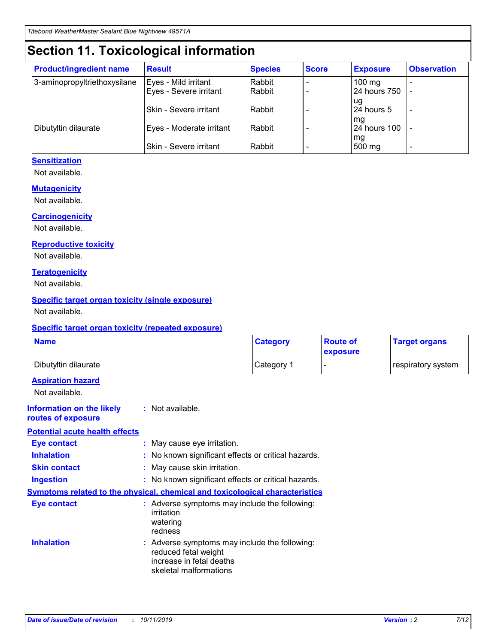# **Section 11. Toxicological information**

| <b>Product/ingredient name</b> | <b>Result</b>            | <b>Species</b> | <b>Score</b> | <b>Exposure</b>    | <b>Observation</b> |
|--------------------------------|--------------------------|----------------|--------------|--------------------|--------------------|
| 3-aminopropyltriethoxysilane   | Eyes - Mild irritant     | Rabbit         |              | $100$ mg           |                    |
|                                | Eyes - Severe irritant   | Rabbit         |              | 24 hours 750       |                    |
|                                |                          |                |              | ug                 |                    |
|                                | Skin - Severe irritant   | Rabbit         |              | 24 hours 5         | -                  |
| Dibutyltin dilaurate           | Eyes - Moderate irritant | Rabbit         |              | mg<br>24 hours 100 |                    |
|                                |                          |                |              | mg                 |                    |
|                                | Skin - Severe irritant   | Rabbit         |              | 500 mg             | -                  |

#### **Sensitization**

Not available.

#### **Mutagenicity**

Not available.

#### **Carcinogenicity**

Not available.

#### **Reproductive toxicity**

Not available.

#### **Teratogenicity**

Not available.

#### **Specific target organ toxicity (single exposure)**

Not available.

#### **Specific target organ toxicity (repeated exposure)**

| <b>Name</b>                                                                  |                                                                            | <b>Category</b>                                     | <b>Route of</b><br>exposure | <b>Target organs</b> |
|------------------------------------------------------------------------------|----------------------------------------------------------------------------|-----------------------------------------------------|-----------------------------|----------------------|
| Dibutyltin dilaurate                                                         |                                                                            | Category 1                                          | -                           | respiratory system   |
| <b>Aspiration hazard</b><br>Not available.                                   |                                                                            |                                                     |                             |                      |
| <b>Information on the likely</b><br>routes of exposure                       | : Not available.                                                           |                                                     |                             |                      |
| <b>Potential acute health effects</b>                                        |                                                                            |                                                     |                             |                      |
| <b>Eye contact</b>                                                           | : May cause eye irritation.                                                |                                                     |                             |                      |
| <b>Inhalation</b>                                                            |                                                                            | : No known significant effects or critical hazards. |                             |                      |
| <b>Skin contact</b>                                                          | : May cause skin irritation.                                               |                                                     |                             |                      |
| <b>Ingestion</b>                                                             |                                                                            | : No known significant effects or critical hazards. |                             |                      |
| Symptoms related to the physical, chemical and toxicological characteristics |                                                                            |                                                     |                             |                      |
| <b>Eye contact</b>                                                           | irritation<br>watering<br>redness                                          | : Adverse symptoms may include the following:       |                             |                      |
| <b>Inhalation</b>                                                            | reduced fetal weight<br>increase in fetal deaths<br>skeletal malformations | : Adverse symptoms may include the following:       |                             |                      |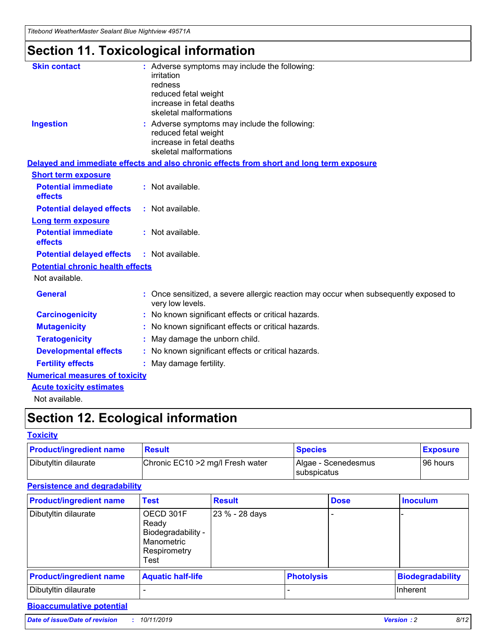*Titebond WeatherMaster Sealant Blue Nightview 49571A*

# **Section 11. Toxicological information**

| <b>Skin contact</b>                     | : Adverse symptoms may include the following:<br>irritation                                                                 |  |
|-----------------------------------------|-----------------------------------------------------------------------------------------------------------------------------|--|
|                                         | redness                                                                                                                     |  |
|                                         | reduced fetal weight<br>increase in fetal deaths                                                                            |  |
|                                         | skeletal malformations                                                                                                      |  |
| <b>Ingestion</b>                        | : Adverse symptoms may include the following:<br>reduced fetal weight<br>increase in fetal deaths<br>skeletal malformations |  |
|                                         | Delayed and immediate effects and also chronic effects from short and long term exposure                                    |  |
| <b>Short term exposure</b>              |                                                                                                                             |  |
| <b>Potential immediate</b><br>effects   | : Not available.                                                                                                            |  |
| <b>Potential delayed effects</b>        | : Not available.                                                                                                            |  |
| Long term exposure                      |                                                                                                                             |  |
| <b>Potential immediate</b><br>effects   | : Not available.                                                                                                            |  |
| <b>Potential delayed effects</b>        | : Not available.                                                                                                            |  |
| <b>Potential chronic health effects</b> |                                                                                                                             |  |
| Not available.                          |                                                                                                                             |  |
| <b>General</b>                          | Once sensitized, a severe allergic reaction may occur when subsequently exposed to<br>very low levels.                      |  |
| <b>Carcinogenicity</b>                  | : No known significant effects or critical hazards.                                                                         |  |
| <b>Mutagenicity</b>                     | : No known significant effects or critical hazards.                                                                         |  |
| <b>Teratogenicity</b>                   | May damage the unborn child.                                                                                                |  |
| <b>Developmental effects</b>            | : No known significant effects or critical hazards.                                                                         |  |
| <b>Fertility effects</b>                | May damage fertility.                                                                                                       |  |
| <b>Numerical measures of toxicity</b>   |                                                                                                                             |  |
| <b>Acute toxicity estimates</b>         |                                                                                                                             |  |
| الملحلة والمستحيط والمسالم              |                                                                                                                             |  |

Not available.

# **Section 12. Ecological information**

#### **Toxicity**

| <b>Product/ingredient name</b> | <b>Result</b>                     | <b>Species</b>                              | <b>Exposure</b> |
|--------------------------------|-----------------------------------|---------------------------------------------|-----------------|
| Dibutyltin dilaurate           | Chronic EC10 > 2 mg/l Fresh water | Algae - Scenedesmus<br><b>I</b> subspicatus | l 96 hours      |

#### **Persistence and degradability**

| <b>Product/ingredient name</b> | Test                                                                           | <b>Result</b>  |  | <b>Dose</b>       | <b>Inoculum</b>         |
|--------------------------------|--------------------------------------------------------------------------------|----------------|--|-------------------|-------------------------|
| Dibutyltin dilaurate           | OECD 301F<br>Ready<br>Biodegradability -<br>Manometric<br>Respirometry<br>Test | 23 % - 28 days |  |                   |                         |
| <b>Product/ingredient name</b> | <b>Aquatic half-life</b>                                                       |                |  | <b>Photolysis</b> | <b>Biodegradability</b> |
| Dibutyltin dilaurate           |                                                                                |                |  |                   | Inherent                |

#### **Bioaccumulative potential**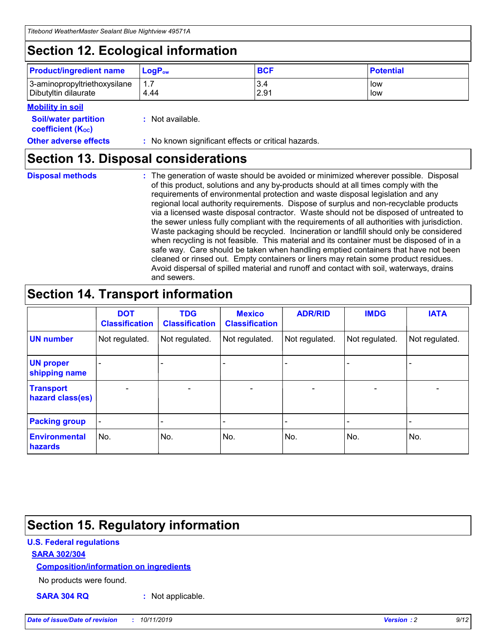# **Section 12. Ecological information**

| <b>Product/ingredient name</b> | $LoaPow$ | <b>BCF</b> | <b>Potential</b> |
|--------------------------------|----------|------------|------------------|
| 3-aminopropyltriethoxysilane   | 1.7      | 3.4        | low              |
| Dibutyltin dilaurate           | 4.44     | 2.91       | low              |

#### **Mobility in soil**

| <b>Soil/water partition</b><br>coefficient (K <sub>oc</sub> ) | : Not available.                                    |
|---------------------------------------------------------------|-----------------------------------------------------|
| <b>Other adverse effects</b>                                  | : No known significant effects or critical hazards. |

### **Section 13. Disposal considerations**

|  | <b>Disposal methods</b> |  |
|--|-------------------------|--|

**Disposal methods** : The generation of waste should be avoided or minimized wherever possible. Disposal of this product, solutions and any by-products should at all times comply with the requirements of environmental protection and waste disposal legislation and any regional local authority requirements. Dispose of surplus and non-recyclable products via a licensed waste disposal contractor. Waste should not be disposed of untreated to the sewer unless fully compliant with the requirements of all authorities with jurisdiction. Waste packaging should be recycled. Incineration or landfill should only be considered when recycling is not feasible. This material and its container must be disposed of in a safe way. Care should be taken when handling emptied containers that have not been cleaned or rinsed out. Empty containers or liners may retain some product residues. Avoid dispersal of spilled material and runoff and contact with soil, waterways, drains and sewers.

# **Section 14. Transport information**

|                                      | <b>DOT</b><br><b>Classification</b> | <b>TDG</b><br><b>Classification</b> | <b>Mexico</b><br><b>Classification</b> | <b>ADR/RID</b>           | <b>IMDG</b>              | <b>IATA</b>              |
|--------------------------------------|-------------------------------------|-------------------------------------|----------------------------------------|--------------------------|--------------------------|--------------------------|
| <b>UN number</b>                     | Not regulated.                      | Not regulated.                      | Not regulated.                         | Not regulated.           | Not regulated.           | Not regulated.           |
| <b>UN proper</b><br>shipping name    | $\qquad \qquad \blacksquare$        |                                     |                                        |                          |                          |                          |
| <b>Transport</b><br>hazard class(es) | $\blacksquare$                      | $\blacksquare$                      | $\blacksquare$                         | $\overline{\phantom{a}}$ | $\blacksquare$           | $\blacksquare$           |
| <b>Packing group</b>                 | $\overline{\phantom{a}}$            | $\overline{\phantom{0}}$            | $\qquad \qquad \blacksquare$           | -                        | $\overline{\phantom{0}}$ | $\overline{\phantom{a}}$ |
| <b>Environmental</b><br>hazards      | No.                                 | No.                                 | No.                                    | No.                      | No.                      | No.                      |

# **Section 15. Regulatory information**

#### **U.S. Federal regulations**

#### **SARA 302/304**

#### **Composition/information on ingredients**

No products were found.

**SARA 304 RQ :** Not applicable.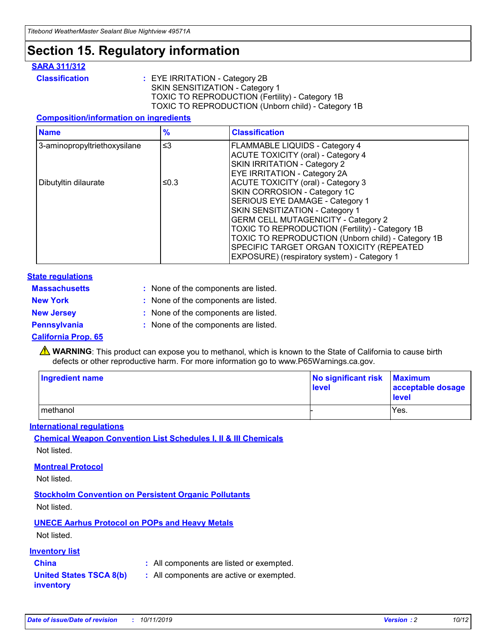# **Section 15. Regulatory information**

#### **SARA 311/312**

**Classification :** EYE IRRITATION - Category 2B SKIN SENSITIZATION - Category 1 TOXIC TO REPRODUCTION (Fertility) - Category 1B TOXIC TO REPRODUCTION (Unborn child) - Category 1B

#### **Composition/information on ingredients**

| <b>Name</b>                  | $\frac{9}{6}$ | <b>Classification</b>                                                                                            |
|------------------------------|---------------|------------------------------------------------------------------------------------------------------------------|
| 3-aminopropyltriethoxysilane | $\leq$ 3      | <b>FLAMMABLE LIQUIDS - Category 4</b><br><b>ACUTE TOXICITY (oral) - Category 4</b>                               |
|                              |               | SKIN IRRITATION - Category 2<br><b>EYE IRRITATION - Category 2A</b>                                              |
| Dibutyltin dilaurate         | ≤0.3          | ACUTE TOXICITY (oral) - Category 3<br>SKIN CORROSION - Category 1C                                               |
|                              |               | SERIOUS EYE DAMAGE - Category 1<br>SKIN SENSITIZATION - Category 1<br><b>GERM CELL MUTAGENICITY - Category 2</b> |
|                              |               | TOXIC TO REPRODUCTION (Fertility) - Category 1B<br>TOXIC TO REPRODUCTION (Unborn child) - Category 1B            |
|                              |               | SPECIFIC TARGET ORGAN TOXICITY (REPEATED<br>EXPOSURE) (respiratory system) - Category 1                          |

#### **State regulations**

| <b>Massachusetts</b> | : None of the components are listed. |
|----------------------|--------------------------------------|
| <b>New York</b>      | : None of the components are listed. |
| <b>New Jersey</b>    | : None of the components are listed. |
| <b>Pennsylvania</b>  | : None of the components are listed. |

#### **California Prop. 65**

**A** WARNING: This product can expose you to methanol, which is known to the State of California to cause birth defects or other reproductive harm. For more information go to www.P65Warnings.ca.gov.

| <b>Ingredient name</b> | No significant risk Maximum<br>level | acceptable dosage<br>level |
|------------------------|--------------------------------------|----------------------------|
| methanol               |                                      | Yes.                       |

#### **International regulations**

**Chemical Weapon Convention List Schedules I, II & III Chemicals** Not listed.

#### **Montreal Protocol**

Not listed.

#### **Stockholm Convention on Persistent Organic Pollutants**

Not listed.

### **UNECE Aarhus Protocol on POPs and Heavy Metals**

Not listed.

#### **Inventory list**

### **China :** All components are listed or exempted.

**United States TSCA 8(b) inventory :** All components are active or exempted.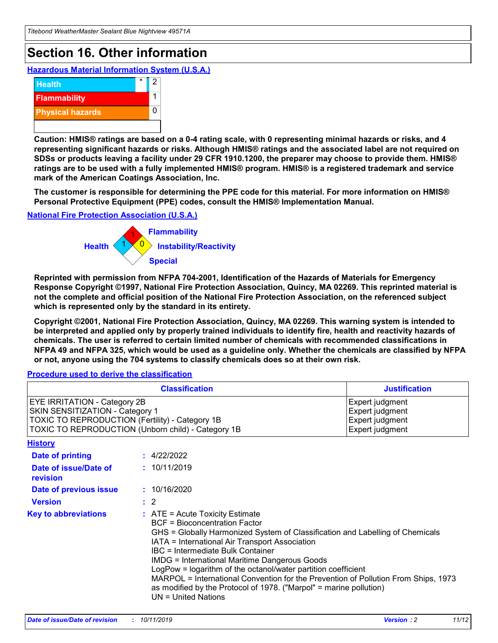# **Section 16. Other information**

**Hazardous Material Information System (U.S.A.)**



**Caution: HMIS® ratings are based on a 0-4 rating scale, with 0 representing minimal hazards or risks, and 4 representing significant hazards or risks. Although HMIS® ratings and the associated label are not required on SDSs or products leaving a facility under 29 CFR 1910.1200, the preparer may choose to provide them. HMIS® ratings are to be used with a fully implemented HMIS® program. HMIS® is a registered trademark and service mark of the American Coatings Association, Inc.**

**The customer is responsible for determining the PPE code for this material. For more information on HMIS® Personal Protective Equipment (PPE) codes, consult the HMIS® Implementation Manual.**

#### **National Fire Protection Association (U.S.A.)**



**Reprinted with permission from NFPA 704-2001, Identification of the Hazards of Materials for Emergency Response Copyright ©1997, National Fire Protection Association, Quincy, MA 02269. This reprinted material is not the complete and official position of the National Fire Protection Association, on the referenced subject which is represented only by the standard in its entirety.**

**Copyright ©2001, National Fire Protection Association, Quincy, MA 02269. This warning system is intended to be interpreted and applied only by properly trained individuals to identify fire, health and reactivity hazards of chemicals. The user is referred to certain limited number of chemicals with recommended classifications in NFPA 49 and NFPA 325, which would be used as a guideline only. Whether the chemicals are classified by NFPA or not, anyone using the 704 systems to classify chemicals does so at their own risk.**

#### **Procedure used to derive the classification**

|                                                                                                                    | <b>Classification</b>                                                                                                                                                                                                                                                                                                                                                                                                                                                                                                                                         | <b>Justification</b>                                                     |
|--------------------------------------------------------------------------------------------------------------------|---------------------------------------------------------------------------------------------------------------------------------------------------------------------------------------------------------------------------------------------------------------------------------------------------------------------------------------------------------------------------------------------------------------------------------------------------------------------------------------------------------------------------------------------------------------|--------------------------------------------------------------------------|
| EYE IRRITATION - Category 2B<br>SKIN SENSITIZATION - Category 1<br>TOXIC TO REPRODUCTION (Fertility) - Category 1B | TOXIC TO REPRODUCTION (Unborn child) - Category 1B                                                                                                                                                                                                                                                                                                                                                                                                                                                                                                            | Expert judgment<br>Expert judgment<br>Expert judgment<br>Expert judgment |
| <b>History</b>                                                                                                     |                                                                                                                                                                                                                                                                                                                                                                                                                                                                                                                                                               |                                                                          |
| <b>Date of printing</b>                                                                                            | : 4/22/2022                                                                                                                                                                                                                                                                                                                                                                                                                                                                                                                                                   |                                                                          |
| Date of issue/Date of<br>revision                                                                                  | : 10/11/2019                                                                                                                                                                                                                                                                                                                                                                                                                                                                                                                                                  |                                                                          |
| Date of previous issue                                                                                             | : 10/16/2020                                                                                                                                                                                                                                                                                                                                                                                                                                                                                                                                                  |                                                                          |
| <b>Version</b>                                                                                                     | $\therefore$ 2                                                                                                                                                                                                                                                                                                                                                                                                                                                                                                                                                |                                                                          |
| <b>Key to abbreviations</b>                                                                                        | $:$ ATE = Acute Toxicity Estimate<br><b>BCF</b> = Bioconcentration Factor<br>GHS = Globally Harmonized System of Classification and Labelling of Chemicals<br>IATA = International Air Transport Association<br>IBC = Intermediate Bulk Container<br><b>IMDG = International Maritime Dangerous Goods</b><br>LogPow = logarithm of the octanol/water partition coefficient<br>MARPOL = International Convention for the Prevention of Pollution From Ships, 1973<br>as modified by the Protocol of 1978. ("Marpol" = marine pollution)<br>UN = United Nations |                                                                          |